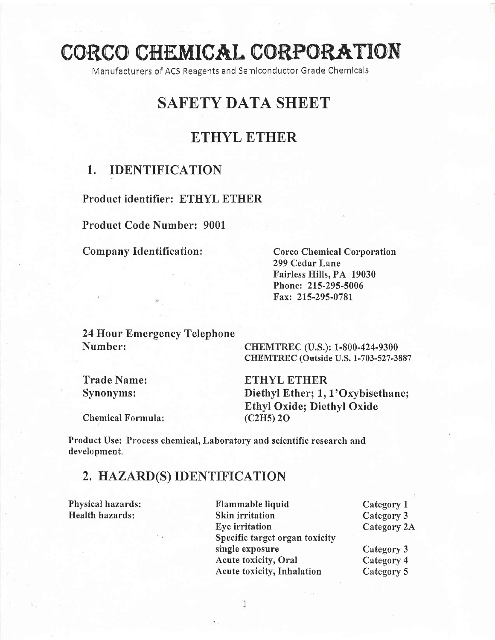# CORCO CHEMICAL CORPORATION

Manufacturers of ACS Reagents and Semlconductor Grade Chemlcals

# SAFETY DATA SHEET

## ETHYL ETHER

#### 1. IDENTIFICATION

Product identifier: ETHYL ETHER

Product Code Number: 9001

Company Identification: Corco Chemical Corporation

299 Cedar Lane Fairless Hills, PA 19030 Phone: 215-295-5006 Fax: 215-295-0781

24 Hour Emergency Telephone Number: CHEMTREC (U.S.): 1-800-424-9300

CHEMTREC (Outside U.S. 1-703- 527 -3887

Trade Name: ETHYL ETHER<br>Synonyms: Diethyl Ether; 1, Diethyl Ether; 1, 1'Oxybisethane; Ethyl Oxide; Diethyl Oxide

Chemical Formula: (C2H5) 20

Product Use: Process chemical, Laboratory and scientific research and development,

# 2, HAZARD(S) IDENTIFICATION

Physical hazards: Flammable liquid Category 1<br>
Health hazards: Skin irritation Category 3 Skin irritation<br>
Eye irritation Category 2A Eye irritation Specific target organ toxicity single exposure Category 3<br>Acute toxicity, Oral Category 4 Acute toxicity, Oral Acute toxicity, Inhalation Category 5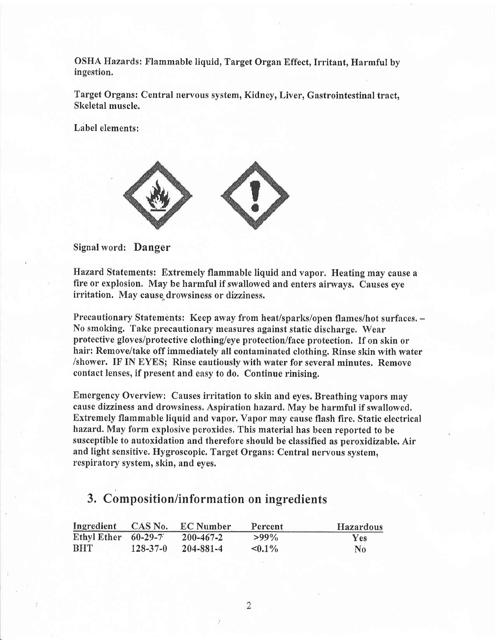OSHA Hazards: Flammable liquid, Target Organ Effect, Irritant, Harmful by ingestion.

Target Organs: Central nervous system, Kidney, Liver, Gastrointestinal tract, Skeletal muscle.

Label elements:



Signal word: Danger

Hazard Statements: Extremely flammable liquid and vapor. Heating may cause a fire or explosion. May be harmful if swallowed and enters airways. Causes eye irritation. May cause,drowsiness or dizziness.

Precautionary Statements: Keep away from heat/sparks/open flames/hot surfaces. -No smoking. Take precautionary measures against static discharge. Wear protective gloves/protective clothing/eye protection/face protection. If on skin or hair: Remove/take off immediately all contaminated clothing. Rinse skin with water /shower. IF IN EYES; Rinse cautiously with water for several minutes. Remove contact lenses, if present and easy to do. Continue rinising.

Emergency Overview: Causes irritation to skin and eyes. Breathing vapors may cause dizziness and drowsiness. Aspiration hazard, May be harmful if swallowed, Extremely flammable liquid and vapor. Vapor may cause flash fire. Static electrical hazard, May form explosive peroxides. This material has been reported to be susceptible to autoxidation and therefore should be classified as peroxidizable. Air and light sensitive. Hygroscopic. Target Organs: Central nervous system, respiratory system, skin, and eyes.

### 3. Composition/information on ingredients

| Ingredient CAS No.    |                | <b>EC</b> Number | Percent      | <b>Hazardous</b> |
|-----------------------|----------------|------------------|--------------|------------------|
| Ethyl Ether $60-29-7$ |                | $200 - 467 - 2$  | $>99\%$      | <b>Yes</b>       |
| <b>BHT</b>            | $128 - 37 - 0$ | 204-881-4        | $\leq 0.1\%$ | N <sub>0</sub>   |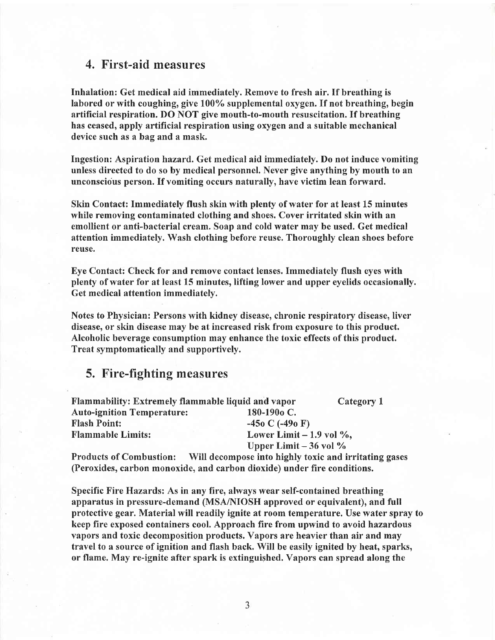#### 4. First-aid measures

Inhalation: Get medical aid immediately. Remove to fresh air. If breathing is labored or with coughing, give  $100\%$  supplemental oxygen. If not breathing, begin artificial respiration. DO NOT give mouth-to-mouth resuscitation. If breathing has ceased, apply artificial respiration using oxygen and a suitable mechanical device such as a bag and a mask.

Ingestion: Aspiration hazard. Get medical aid immediately. Do not induce vomiting unless directed to do so by medical personnel. Never give anything by mouth to an unconscious person. If vomiting occurs naturally, have victim lean forward.

Skin Contact: Immediately flush skin with plcnty of water for at least 15 minutes while removing contaminated clothing and shoes. Cover irritated skin with an emollient or anti-bacterial cream. Soap and cold water may be used. Get medical attention immediately. Wash clothing before reuse. Thoroughly clean shoes before reuse.

Eye Contact: Check for and remove contact lenses. Immediately flush eyes with plenty of water for at least 15 minutes, lifting lower and upper eyelids occasionally. Get medical attention immediately.

Notes to Physician: Persons with kidney disease, chronic respiratory disease, liver disease, or skin disease may be at increased risk from exposure to this product. Alcoholic beverage consumption may enhance the toxic effects of this product. Treat symptomatically and supportively.

#### 5. Fire-fighting measures

| Flammability: Extremely flammable liquid and vapor | Category 1                                  |                           |  |
|----------------------------------------------------|---------------------------------------------|---------------------------|--|
| <b>Auto-ignition Temperature:</b>                  | 180-190 <sub>o</sub> C.                     |                           |  |
| <b>Flash Point:</b>                                | $-45$ <sub>0</sub> C $(-49$ <sub>0</sub> F) |                           |  |
| <b>Flammable Limits:</b>                           |                                             | Lower Limit $-1.9$ vol %, |  |
|                                                    | Upper Limit $-36$ vol $\%$                  |                           |  |
|                                                    |                                             |                           |  |

Products of Combustion: Will decompose into highly toxic and irritating gases (Peroxides, carbon monoxide, and carbon dioxide) under fire conditions.

Specific Fire Hazards: As in any fire, always wear self-contained breathing apparatus in pressure-demand (MSA/NIOSH approved or equivalent), and full protective gear. Material will readily ignite at room temperature. Use water spray to keep fire exposed containers cool. Approach fire from upwind to avoid hazardous vapors and toxic decomposition products. Vapors are heavier than air and may travel to a source of ignition and flash back. Will be easily ignited by heat, sparks, or flame. May re-ignite after spark is extinguished. Vapors can spread along the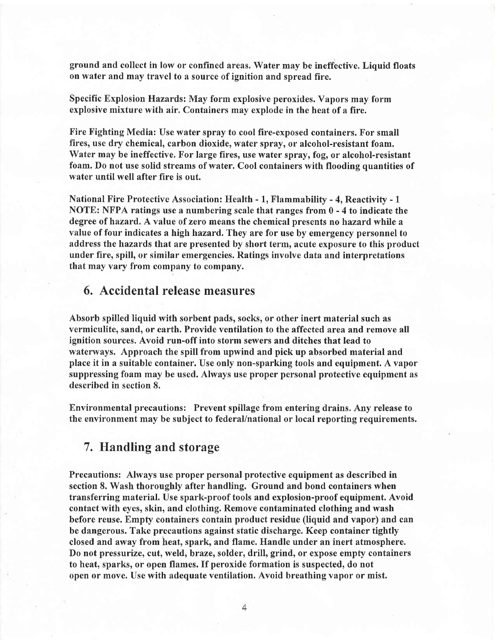ground and collect in low or confined areas. Water may be ineffective. Liquid floats on water and may travel to a source of ignition and spread fire.

Specific Explosion Hazards: May form explosive peroxides. Vapors may form explosive mixture with air. Containers may explode in the heat of a fire.

Fire Fighting Media: Use water spray to cool fire-exposed containers. For small fires, use dry chemical, carbon dioxide, water spray, or alcohol-resistant foam. Water may be ineffective, For large fires, use water spray, fog, or alcohol-resistant foam. Do not use solid streams of water. Cool containers with flooding quantities of water until well after fire is out.

National Fire Protective Association: Health - 1, Flammability - 4, Reactivity - 1 NOTE: NFPA ratings use a numbering scale that ranges from 0 - 4 to indicate the degree of hazard, A value of zero means the chemical presents no hazard while a value of four indicates a high hazard, They are for use by emergency personnel to address the hazards that are presented by short term, acute exposure to this product under fire, spill, or similar emergencies. Ratings involve data and interpretations that may vary from company to company.

#### 6, Accidental release measures

Absorb spilled liquid with sorbent pads, socks, or other inert material such as vermiculite, sand, or earth. Provide ventilation to the affected area and remove all ignition sources. Avoid run-off into storm sewers and ditches that lead to waterways. Approach the spill from upwind and pick up absorbed material and place it in a suitable container. Use only non-sparking tools and equipment. A vapor suppressing foam may be used. Always use proper personal protective equipment as described in section 8.

Environmental precautions: Prevent spillage from entering drains.Any release to the environment may be subject to federal/national or local reporting requirements.

#### 7, Handling and storage

Precautions: Always use proper personal protective equipment as described in section 8. Wash thoroughly after handling. Ground and bond containers when transferring material. Use spark-proof tools and explosion-proof equipment. Avoid contact with eyes, skin, and clothing. Remove contaminated clothing and wash before reuse. Empfy containers contain product residue (liquid and vapor) and can be dangerous. Take precautions against static discharge. Keep container tightly closed and away from heat, spark, and flame. Handle under an inert atmosphere. Do not pressurize, cut, weld, braze, solder, drill, grind, or expose empty containers to heat, sparks, or open flames. If peroxide formation is suspected, do not open or move. Use with adequate ventilation. Avoid breathing vapor or mist.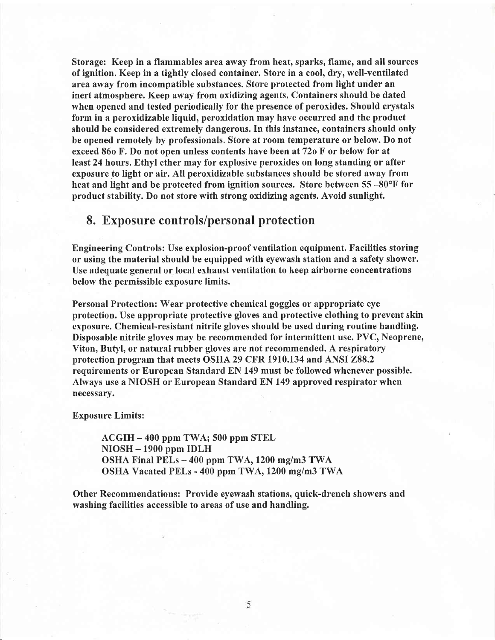Storage: Keep in a flammables area away from heat, sparks, flame, and all sources of ignition. Keep in a tightly closed container. Store in a cool, dry, well-ventilated area away from incompatible substances. Store protected from light under an inert atmosphere. Keep away from oxidizing agents. Containers should be dated when opened and tested periodically for the presence of peroxides. Should crystals form in a peroxidizable liquid, peroxidation may have occurred and the product should be considered extremely dangerous. In this instance, containers should only be opened remotely by professionals. Store at room temperature or below. Do not exceed 86o F. Do not open unless contents have been at 72o F or below for at least24 hours. Ethyl ether may for explosive peroxides on long standing or after exposure to light or air. All peroxidizable substances should be stored away from heat and light and be protected from ignition sources. Store between 55 -80°F for product stability. Do not store with strong oxidizing agents. Avoid sunlight.

### 8. Exposure controls/personal protection

Engineering Controls: Use explosion-proof ventilation equipment. Facilities storing or using the material should be equipped with eyewash station and a safety shower. Use adequate general or local exhaust ventilation to keep airborne concentrations below the permissible exposure limits.

Personal Protection: Wear protective chemical goggles or appropriate eye protection. Use appropriate protective gloves and protective clothing to prevent skin exposure. Chemical-resistant nitrile gloves should be used during routine handling. Disposable nitrile gloves may be recommended for intermittent use. PVC, Neoprene, Viton, Butyl, or natural rubber gloves are not recommended. A respiratory protection program that meets OSHA 29 CFR 1910.134 and ANSI 288.2 requirements or European Standard EN 149 must be followed whenever possible. Always use a NIOSH or European Standard EN 149 approved respirator when necessary.

Exposure Limits:

ACGIH - 400 ppm TWA; 500 ppm STEL NIOSH - 1900 ppm IDLH OSHA Final PELs - 400 ppm TWA, 1200 mg/m3 TWA OSHA Vacated PELs - 400 ppm TWA, 1200 mg/m3 TWA

Other Recommendations: Provide eyewash stations, quick-drench showers and washing facilities accessible to areas of use and handling.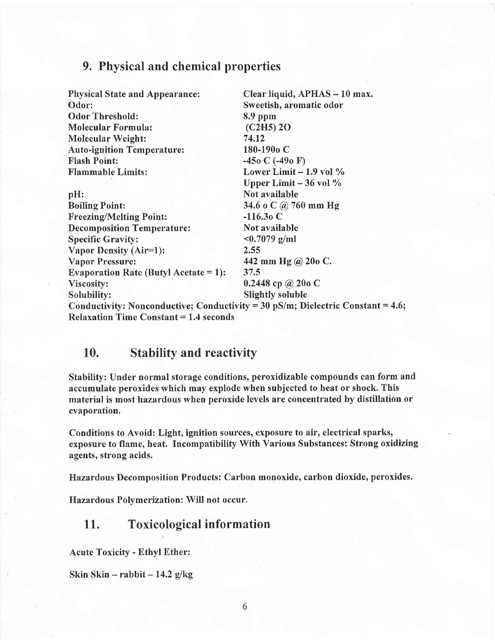#### 9, Physical and chemical properties

| <b>Physical State and Appearance:</b>         | Clear liquid, APHAS - 10 max.                                                   |  |
|-----------------------------------------------|---------------------------------------------------------------------------------|--|
| Odor:                                         | Sweetish, aromatic odor                                                         |  |
| <b>Odor Threshold:</b>                        | $8.9$ ppm                                                                       |  |
| <b>Molecular Formula:</b>                     | (C2H5) 2O                                                                       |  |
| <b>Molecular Weight:</b>                      | 74.12                                                                           |  |
| <b>Auto-ignition Temperature:</b>             | 180-190 <sub>o</sub> C                                                          |  |
| <b>Flash Point:</b>                           | $-450$ C $(-490)$ F)                                                            |  |
| <b>Flammable Limits:</b>                      | Lower Limit $-1.9$ vol $\%$                                                     |  |
|                                               | Upper Limit $-36$ vol $\%$                                                      |  |
| pH:                                           | Not available                                                                   |  |
| <b>Boiling Point:</b>                         | 34.6 o C @ 760 mm Hg                                                            |  |
| <b>Freezing/Melting Point:</b>                | $-116.30C$                                                                      |  |
| <b>Decomposition Temperature:</b>             | Not available                                                                   |  |
| <b>Specific Gravity:</b>                      | $<0.7079$ g/ml                                                                  |  |
| Vapor Density (Air=1):                        | 2.55                                                                            |  |
| <b>Vapor Pressure:</b>                        | 442 mm Hg @ 20o C.                                                              |  |
| Evaporation Rate (Butyl Acetate = $1$ ):      | 37.5                                                                            |  |
| Viscosity:                                    | 0.2448 cp @ 20o C                                                               |  |
| Solubility:                                   | <b>Slightly soluble</b>                                                         |  |
|                                               | Conductivity: Nonconductive; Conductivity = 30 pS/m; Dielectric Constant = 4.6; |  |
| <b>Relaxation Time Constant = 1.4 seconds</b> |                                                                                 |  |

### 10. Stability and reactivity

Stability: Under normal storage conditions, peroxidizable compounds can form and accumulate peroxides which may explode when subjected to heat or shock. This material is most hazardous when peroxide levels are concentrated by distillation or evaporation.

Conditions to Avoid: Light, ignition sources, exposure to air, electrical sparks, exposure to flame, heat. Incompatibility With Various Substances: Strong oxidizing agents, strong acids.

Hazardous Decomposition Products: Carbon monoxide, carbon dioxide, peroxides.

Hazardous Polymerization: Will not occur.

#### 11. Toxicological information

Acute Toxicity - Ethyl Ether:

Skin Skin - rabbit  $-14.2$  g/kg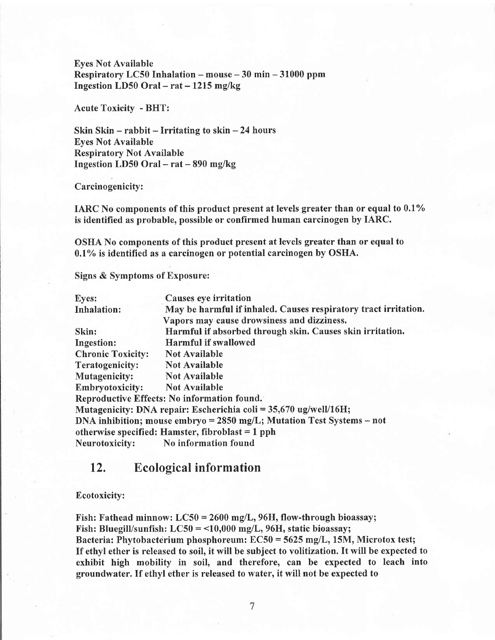Eyes Not Available Respiratory LC50 Inhalation - mouse - 30 min - 31000 ppm Ingestion LD50 Oral  $-$  rat  $-$  1215 mg/kg

Acute Toxicity - BHT:

Skin Skin  $-$  rabbit  $-$  Irritating to skin  $-24$  hours Eyes Not Available Respiratory Not Available Ingestion LD50 Oral  $-$  rat  $-$  890 mg/kg

Carcinogenicity:

IARC No components of this product present at levels greater than or equal to  $0.1\%$ is identified as probable, possible or confirmed human carcinogen by IARC.

OSHA No components of this product present at levels greater than or equal to  $0.1\%$  is identified as a carcinogen or potential carcinogen by OSHA.

Signs & Symptoms of Exposure:

| <b>Eyes:</b>             | Causes eye irritation                                                   |
|--------------------------|-------------------------------------------------------------------------|
| <b>Inhalation:</b>       | May be harmful if inhaled. Causes respiratory tract irritation.         |
|                          | Vapors may cause drowsiness and dizziness.                              |
| Skin:                    | Harmful if absorbed through skin. Causes skin irritation.               |
| <b>Ingestion:</b>        | <b>Harmful if swallowed</b>                                             |
| <b>Chronic Toxicity:</b> | <b>Not Available</b>                                                    |
| Teratogenicity:          | <b>Not Available</b>                                                    |
| Mutagenicity:            | <b>Not Available</b>                                                    |
| <b>Embryotoxicity:</b>   | <b>Not Available</b>                                                    |
|                          | Reproductive Effects: No information found.                             |
|                          | Mutagenicity: DNA repair: Escherichia coli = $35,670$ ug/well/16H;      |
|                          | DNA inhibition; mouse embryo = $2850$ mg/L; Mutation Test Systems – not |
|                          | otherwise specified: Hamster, fibroblast = $1$ pph                      |
| Neurotoxicity:           | No information found                                                    |

#### 12. Ecological information

#### Ecotoxicify:

Fish: Fathead minnow:  $LC50 = 2600$  mg/L, 96H, flow-through bioassay; Fish: Bluegill/sunfish:  $LC50 = 10,000$  mg/L, 96H, static bioassay; Bacteria: Phytobacterium phosphoreum:  $EC50 = 5625$  mg/L, 15M, Microtox test; If ethyl ether is released to soil, it will be subject to volitization. It will be expected to exhibit high mobility in soil, and therefore, can be expected to leach into groundwater. If ethyl ether is released to water, it will not be expected to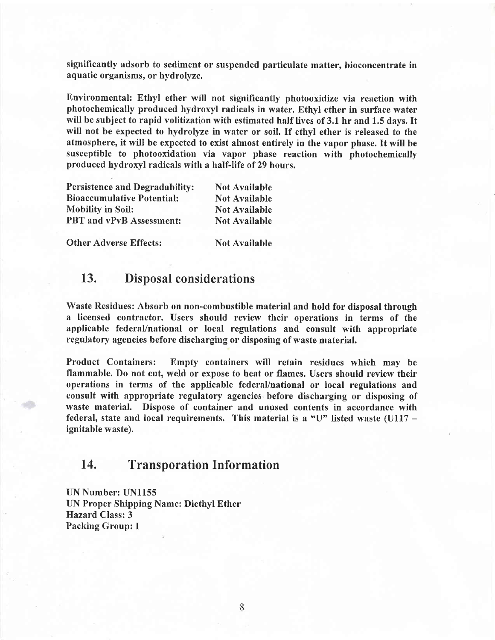significantly adsorb to sediment or suspended particulate matter, bioconcentrate in aquatic organisms, or hydrolyzc.

Environmental: Ethyl ether will not significantly photooxidize via reaction with photochemically produced hydroxyl radicals in water. Ethyl ether in surface water will be subject to rapid volitization with estimated half lives of 3.1 hr and 1.5 days. It will not be expected to hydrolyze in water or soil. If ethyl ether is released to the atmosphere, it will be expected to exist almost entirely in the vapor phase. It will be susceptible to photooxidation via vapor phase reaction with photochemically produced hydroxyl radicals with a half-life of 29 hours.

| Persistence and Degradability:    | <b>Not Available</b> |
|-----------------------------------|----------------------|
| <b>Bioaccumulative Potential:</b> | <b>Not Available</b> |
| <b>Mobility in Soil:</b>          | <b>Not Available</b> |
| PBT and vPvB Assessment:          | <b>Not Available</b> |

Other Adverse Effects: Not Available

#### 13. Disposal considerations

Waste Residues: Absorb on non-combustible material and hold for disposal through a licensed contractor. Users should review their operations in terms of the applicable federal/national or local regulations and consult with appropriate regulatory agencies before discharging or disposing of waste material.

Product Containers: Empty containers will retain residues which may be flammable. Do not cut, weld or expose to heat or flames. Users should review their operations in terms of the applicable federal/national or local regulations and consult with appropriate regulatory agencies before discharging or disposing of waste material. Dispose of container and unused contents in accordance with federal, state and local requirements. This material is a "U" listed waste  $(U117 - U)$ ignitable waste).

#### 14, Transporation Information

UN Number: UNl155 UN Proper Shipping Name: Diethyl Ether Hazard Class:3 Packing Group: I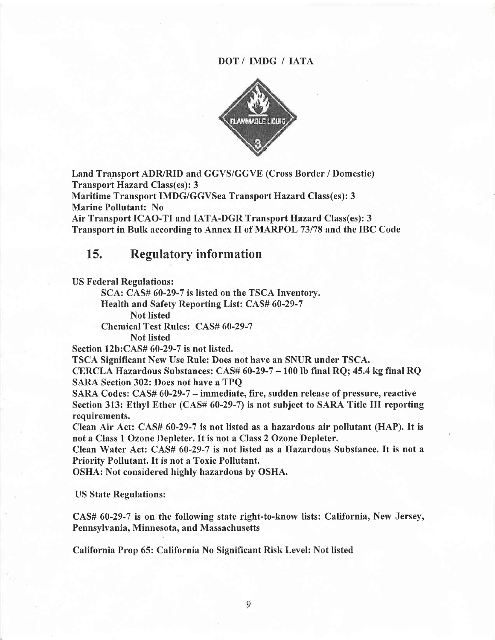#### DOT/ IMDG / IATA



Land Transport ADR/RID and GGVS/GGVE (Cross Border / Domestic) Transport Hazard Class(es): 3

Maritime Transport IMDG/GGVSea Transport Hazard Class(es): 3 Marine Pollutant: No

Air Transport ICAO-TI and IATA-DGR Transport Hazard Class(es): 3 Transport in Bulk according to Annex II of MARPOL 73178 and the IBC Code

#### L5. Regulatory information

US Federal Regulations:

SCA: CAS# 60-29-7 is listed on the TSCA Inventorv.

Health and Safety Reporting List: CAS# 60-29-7

Not listed

Chemical Test Rules: CAS# 60-29-7

Not listed

Section 12b:CAS# 60-29-7 is not listed.

TSCA Significant New Use Rule: Does not have an SNUR under TSCA.

CERCLA Hazardous Substances: CAS# 60-29-7 - 100 lb final RQ; 45.4 kg final RQ SARA Section 302: Does not have a TPQ

SARA Codes:  $CAS# 60-29-7$  – immediate, fire, sudden release of pressure, reactive Section 313: Ethyl Ether (CAS# 60-29-7) is not subject to SARA Title III reporting requirements.

Clean Air Act: CAS# 60-29-7 is not listed as a hazardous air pollutant (HAP). It is not a Class 1 Ozone Depleter. It is not a Class 2 Ozone Depleter.

Clean Water Act: CAS# 60-29-7 is not listed as a Hazardous Substance. It is not <sup>a</sup> Priority Pollutant. It is not a Toxic Pollutant.

OSHA: Not considered highly hazardous by OSHA.

US State Regulations:

CAS# 60-29-7 is on the following state right-to-know lists: California, New Jersey, Pennsylvania, Minnesota, and Massachusetts

California Prop 65: California No Significant Risk Level: Not listed